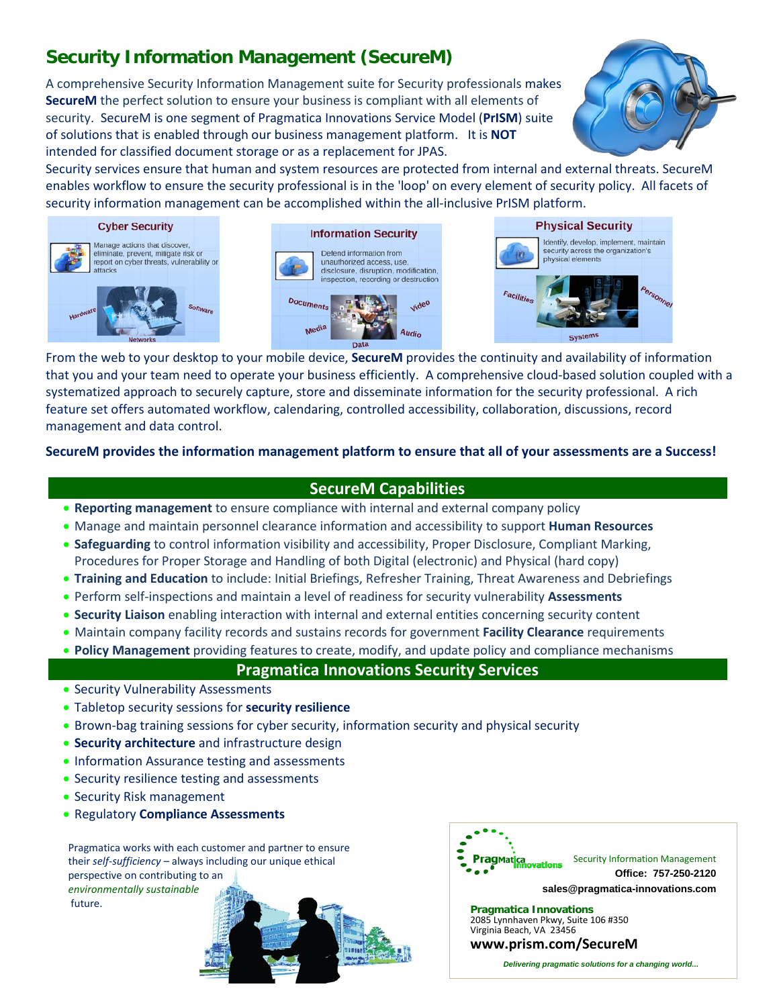## **Security Information Management (SecureM)**

A comprehensive Security Information Management suite for Security professionals makes **SecureM** the perfect solution to ensure your business is compliant with all elements of security. SecureM is one segment of Pragmatica Innovations Service Model (**PrISM**) suite of solutions that is enabled through our business management platform. It is **NOT** intended for classified document storage or as a replacement for JPAS.



Security services ensure that human and system resources are protected from internal and external threats. SecureM enables workflow to ensure the security professional is in the 'loop' on every element of security policy. All facets of security information management can be accomplished within the all-inclusive PrISM platform.



From the web to your desktop to your mobile device, **SecureM** provides the continuity and availability of information that you and your team need to operate your business efficiently. A comprehensive cloud-based solution coupled with a systematized approach to securely capture, store and disseminate information for the security professional. A rich feature set offers automated workflow, calendaring, controlled accessibility, collaboration, discussions, record management and data control.

**SecureM provides the information management platform to ensure that all of your assessments are a Success!**

## **SecureM Capabilities**

- **Reporting management** to ensure compliance with internal and external company policy
- Manage and maintain personnel clearance information and accessibility to support **Human Resources**
- **Safeguarding** to control information visibility and accessibility, Proper Disclosure, Compliant Marking, Procedures for Proper Storage and Handling of both Digital (electronic) and Physical (hard copy)
- **Training and Education** to include: Initial Briefings, Refresher Training, Threat Awareness and Debriefings
- Perform self-inspections and maintain a level of readiness for security vulnerability **Assessments**
- **Security Liaison** enabling interaction with internal and external entities concerning security content
- Maintain company facility records and sustains records for government **Facility Clearance** requirements
- **Policy Management** providing features to create, modify, and update policy and compliance mechanisms

## **Pragmatica Innovations Security Services**

- Security Vulnerability Assessments
- Tabletop security sessions for **security resilience**
- Brown-bag training sessions for cyber security, information security and physical security
- **Security architecture** and infrastructure design
- Information Assurance testing and assessments
- Security resilience testing and assessments
- Security Risk management
- Regulatory **Compliance Assessments**

Pragmatica works with each customer and partner to ensure their *self-sufficiency* – always including our unique ethical perspective on contributing to an *environmentally sustainable* future.



2085 Lynnhaven Pkwy, Suite 106 #350 Virginia Beach, VA 23456 **www.prism.com/SecureM**

*Delivering pragmatic solutions for a changing world...*